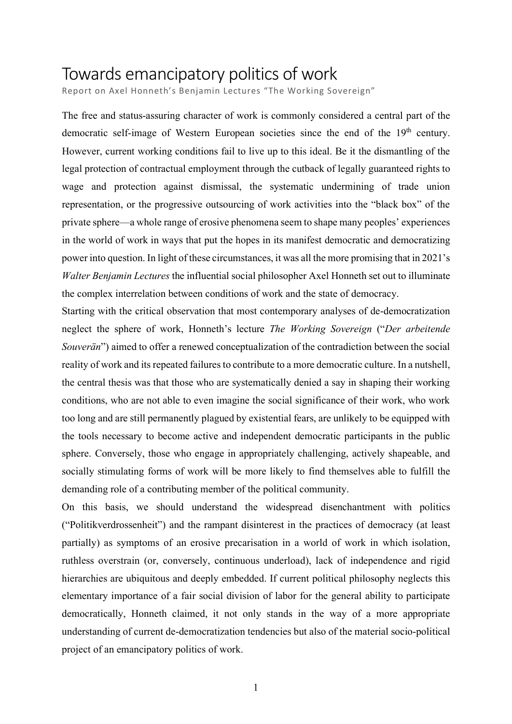# Towards emancipatory politics of work

Report on Axel Honneth's Benjamin Lectures "The Working Sovereign"

The free and status-assuring character of work is commonly considered a central part of the democratic self-image of Western European societies since the end of the 19<sup>th</sup> century. However, current working conditions fail to live up to this ideal. Be it the dismantling of the legal protection of contractual employment through the cutback of legally guaranteed rights to wage and protection against dismissal, the systematic undermining of trade union representation, or the progressive outsourcing of work activities into the "black box" of the private sphere—a whole range of erosive phenomena seem to shape many peoples' experiences in the world of work in ways that put the hopes in its manifest democratic and democratizing power into question. In light of these circumstances, it was all the more promising that in 2021's *Walter Benjamin Lectures* the influential social philosopher Axel Honneth set out to illuminate the complex interrelation between conditions of work and the state of democracy.

Starting with the critical observation that most contemporary analyses of de-democratization neglect the sphere of work, Honneth's lecture *The Working Sovereign* ("*Der arbeitende Souverän*") aimed to offer a renewed conceptualization of the contradiction between the social reality of work and its repeated failures to contribute to a more democratic culture. In a nutshell, the central thesis was that those who are systematically denied a say in shaping their working conditions, who are not able to even imagine the social significance of their work, who work too long and are still permanently plagued by existential fears, are unlikely to be equipped with the tools necessary to become active and independent democratic participants in the public sphere. Conversely, those who engage in appropriately challenging, actively shapeable, and socially stimulating forms of work will be more likely to find themselves able to fulfill the demanding role of a contributing member of the political community.

On this basis, we should understand the widespread disenchantment with politics ("Politikverdrossenheit") and the rampant disinterest in the practices of democracy (at least partially) as symptoms of an erosive precarisation in a world of work in which isolation, ruthless overstrain (or, conversely, continuous underload), lack of independence and rigid hierarchies are ubiquitous and deeply embedded. If current political philosophy neglects this elementary importance of a fair social division of labor for the general ability to participate democratically, Honneth claimed, it not only stands in the way of a more appropriate understanding of current de-democratization tendencies but also of the material socio-political project of an emancipatory politics of work.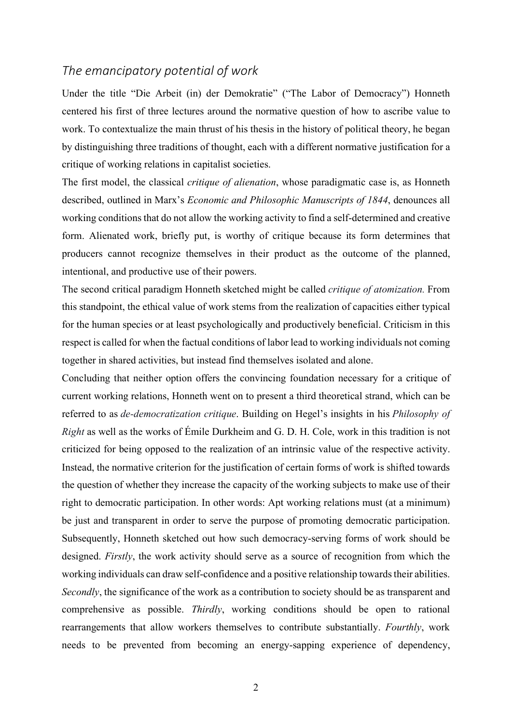## *The emancipatory potential of work*

Under the title "Die Arbeit (in) der Demokratie" ("The Labor of Democracy") Honneth centered his first of three lectures around the normative question of how to ascribe value to work. To contextualize the main thrust of his thesis in the history of political theory, he began by distinguishing three traditions of thought, each with a different normative justification for a critique of working relations in capitalist societies.

The first model, the classical *critique of alienation*, whose paradigmatic case is, as Honneth described, outlined in Marx's *Economic and Philosophic Manuscripts of 1844*, denounces all working conditions that do not allow the working activity to find a self-determined and creative form. Alienated work, briefly put, is worthy of critique because its form determines that producers cannot recognize themselves in their product as the outcome of the planned, intentional, and productive use of their powers.

The second critical paradigm Honneth sketched might be called *critique of atomization.* From this standpoint, the ethical value of work stems from the realization of capacities either typical for the human species or at least psychologically and productively beneficial. Criticism in this respect is called for when the factual conditions of labor lead to working individuals not coming together in shared activities, but instead find themselves isolated and alone.

Concluding that neither option offers the convincing foundation necessary for a critique of current working relations, Honneth went on to present a third theoretical strand, which can be referred to as *de-democratization critique*. Building on Hegel's insights in his *Philosophy of Right* as well as the works of Émile Durkheim and G. D. H. Cole, work in this tradition is not criticized for being opposed to the realization of an intrinsic value of the respective activity. Instead, the normative criterion for the justification of certain forms of work is shifted towards the question of whether they increase the capacity of the working subjects to make use of their right to democratic participation. In other words: Apt working relations must (at a minimum) be just and transparent in order to serve the purpose of promoting democratic participation. Subsequently, Honneth sketched out how such democracy-serving forms of work should be designed. *Firstly*, the work activity should serve as a source of recognition from which the working individuals can draw self-confidence and a positive relationship towards their abilities. *Secondly*, the significance of the work as a contribution to society should be as transparent and comprehensive as possible. *Thirdly*, working conditions should be open to rational rearrangements that allow workers themselves to contribute substantially. *Fourthly*, work needs to be prevented from becoming an energy-sapping experience of dependency,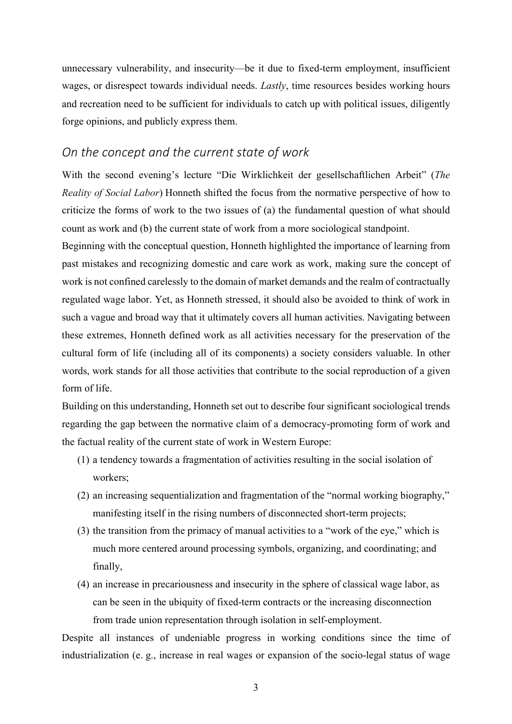unnecessary vulnerability, and insecurity—be it due to fixed-term employment, insufficient wages, or disrespect towards individual needs. *Lastly*, time resources besides working hours and recreation need to be sufficient for individuals to catch up with political issues, diligently forge opinions, and publicly express them.

## *On the concept and the current state of work*

With the second evening's lecture "Die Wirklichkeit der gesellschaftlichen Arbeit" (*The Reality of Social Labor*) Honneth shifted the focus from the normative perspective of how to criticize the forms of work to the two issues of (a) the fundamental question of what should count as work and (b) the current state of work from a more sociological standpoint.

Beginning with the conceptual question, Honneth highlighted the importance of learning from past mistakes and recognizing domestic and care work as work, making sure the concept of work is not confined carelessly to the domain of market demands and the realm of contractually regulated wage labor. Yet, as Honneth stressed, it should also be avoided to think of work in such a vague and broad way that it ultimately covers all human activities. Navigating between these extremes, Honneth defined work as all activities necessary for the preservation of the cultural form of life (including all of its components) a society considers valuable. In other words, work stands for all those activities that contribute to the social reproduction of a given form of life.

Building on this understanding, Honneth set out to describe four significant sociological trends regarding the gap between the normative claim of a democracy-promoting form of work and the factual reality of the current state of work in Western Europe:

- (1) a tendency towards a fragmentation of activities resulting in the social isolation of workers;
- (2) an increasing sequentialization and fragmentation of the "normal working biography," manifesting itself in the rising numbers of disconnected short-term projects;
- (3) the transition from the primacy of manual activities to a "work of the eye," which is much more centered around processing symbols, organizing, and coordinating; and finally,
- (4) an increase in precariousness and insecurity in the sphere of classical wage labor, as can be seen in the ubiquity of fixed-term contracts or the increasing disconnection from trade union representation through isolation in self-employment.

Despite all instances of undeniable progress in working conditions since the time of industrialization (e. g., increase in real wages or expansion of the socio-legal status of wage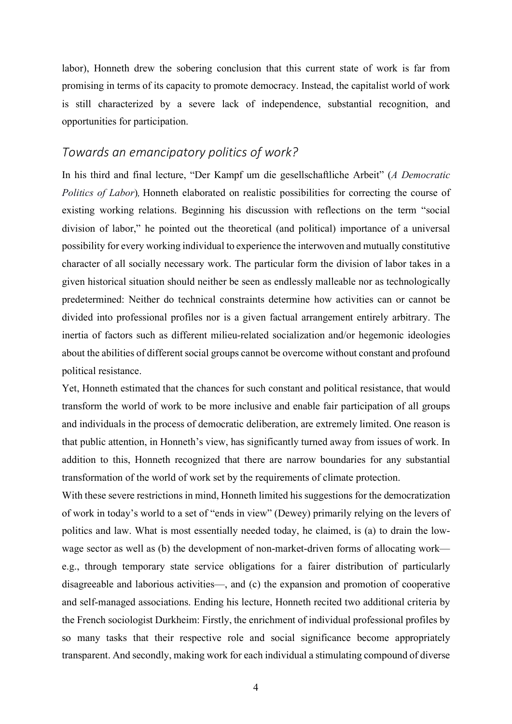labor), Honneth drew the sobering conclusion that this current state of work is far from promising in terms of its capacity to promote democracy. Instead, the capitalist world of work is still characterized by a severe lack of independence, substantial recognition, and opportunities for participation.

## *Towards an emancipatory politics of work?*

In his third and final lecture, "Der Kampf um die gesellschaftliche Arbeit" (*A Democratic Politics of Labor*)*,* Honneth elaborated on realistic possibilities for correcting the course of existing working relations. Beginning his discussion with reflections on the term "social division of labor," he pointed out the theoretical (and political) importance of a universal possibility for every working individual to experience the interwoven and mutually constitutive character of all socially necessary work. The particular form the division of labor takes in a given historical situation should neither be seen as endlessly malleable nor as technologically predetermined: Neither do technical constraints determine how activities can or cannot be divided into professional profiles nor is a given factual arrangement entirely arbitrary. The inertia of factors such as different milieu-related socialization and/or hegemonic ideologies about the abilities of different social groups cannot be overcome without constant and profound political resistance.

Yet, Honneth estimated that the chances for such constant and political resistance, that would transform the world of work to be more inclusive and enable fair participation of all groups and individuals in the process of democratic deliberation, are extremely limited. One reason is that public attention, in Honneth's view, has significantly turned away from issues of work. In addition to this, Honneth recognized that there are narrow boundaries for any substantial transformation of the world of work set by the requirements of climate protection.

With these severe restrictions in mind, Honneth limited his suggestions for the democratization of work in today's world to a set of "ends in view" (Dewey) primarily relying on the levers of politics and law. What is most essentially needed today, he claimed, is (a) to drain the lowwage sector as well as (b) the development of non-market-driven forms of allocating work e.g., through temporary state service obligations for a fairer distribution of particularly disagreeable and laborious activities—, and (c) the expansion and promotion of cooperative and self-managed associations. Ending his lecture, Honneth recited two additional criteria by the French sociologist Durkheim: Firstly, the enrichment of individual professional profiles by so many tasks that their respective role and social significance become appropriately transparent. And secondly, making work for each individual a stimulating compound of diverse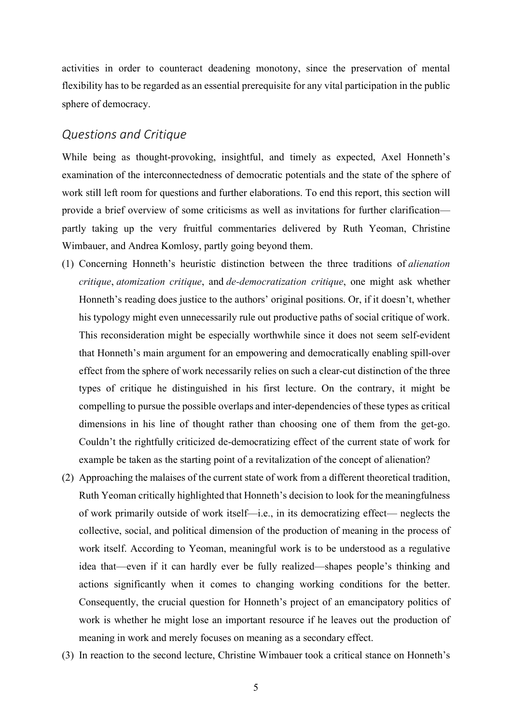activities in order to counteract deadening monotony, since the preservation of mental flexibility has to be regarded as an essential prerequisite for any vital participation in the public sphere of democracy.

#### *Questions and Critique*

While being as thought-provoking, insightful, and timely as expected, Axel Honneth's examination of the interconnectedness of democratic potentials and the state of the sphere of work still left room for questions and further elaborations. To end this report, this section will provide a brief overview of some criticisms as well as invitations for further clarification partly taking up the very fruitful commentaries delivered by Ruth Yeoman, Christine Wimbauer, and Andrea Komlosy, partly going beyond them.

- (1) Concerning Honneth's heuristic distinction between the three traditions of *alienation critique*, *atomization critique*, and *de-democratization critique*, one might ask whether Honneth's reading does justice to the authors' original positions. Or, if it doesn't, whether his typology might even unnecessarily rule out productive paths of social critique of work. This reconsideration might be especially worthwhile since it does not seem self-evident that Honneth's main argument for an empowering and democratically enabling spill-over effect from the sphere of work necessarily relies on such a clear-cut distinction of the three types of critique he distinguished in his first lecture. On the contrary, it might be compelling to pursue the possible overlaps and inter-dependencies of these types as critical dimensions in his line of thought rather than choosing one of them from the get-go. Couldn't the rightfully criticized de-democratizing effect of the current state of work for example be taken as the starting point of a revitalization of the concept of alienation?
- (2) Approaching the malaises of the current state of work from a different theoretical tradition, Ruth Yeoman critically highlighted that Honneth's decision to look for the meaningfulness of work primarily outside of work itself—i.e., in its democratizing effect— neglects the collective, social, and political dimension of the production of meaning in the process of work itself. According to Yeoman, meaningful work is to be understood as a regulative idea that—even if it can hardly ever be fully realized—shapes people's thinking and actions significantly when it comes to changing working conditions for the better. Consequently, the crucial question for Honneth's project of an emancipatory politics of work is whether he might lose an important resource if he leaves out the production of meaning in work and merely focuses on meaning as a secondary effect.
- (3) In reaction to the second lecture, Christine Wimbauer took a critical stance on Honneth's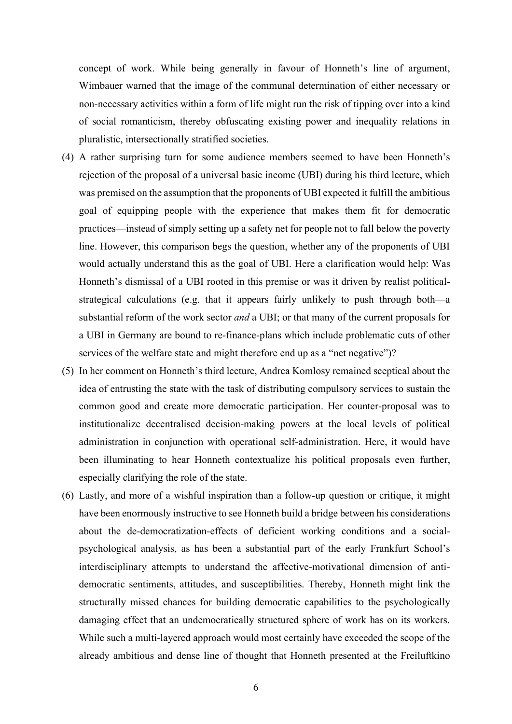concept of work. While being generally in favour of Honneth's line of argument, Wimbauer warned that the image of the communal determination of either necessary or non-necessary activities within a form of life might run the risk of tipping over into a kind of social romanticism, thereby obfuscating existing power and inequality relations in pluralistic, intersectionally stratified societies.

- (4) A rather surprising turn for some audience members seemed to have been Honneth's rejection of the proposal of a universal basic income (UBI) during his third lecture, which was premised on the assumption that the proponents of UBI expected it fulfill the ambitious goal of equipping people with the experience that makes them fit for democratic practices—instead of simply setting up a safety net for people not to fall below the poverty line. However, this comparison begs the question, whether any of the proponents of UBI would actually understand this as the goal of UBI. Here a clarification would help: Was Honneth's dismissal of a UBI rooted in this premise or was it driven by realist politicalstrategical calculations (e.g. that it appears fairly unlikely to push through both—a substantial reform of the work sector *and* a UBI; or that many of the current proposals for a UBI in Germany are bound to re-finance-plans which include problematic cuts of other services of the welfare state and might therefore end up as a "net negative")?
- (5) In her comment on Honneth's third lecture, Andrea Komlosy remained sceptical about the idea of entrusting the state with the task of distributing compulsory services to sustain the common good and create more democratic participation. Her counter-proposal was to institutionalize decentralised decision-making powers at the local levels of political administration in conjunction with operational self-administration. Here, it would have been illuminating to hear Honneth contextualize his political proposals even further, especially clarifying the role of the state.
- (6) Lastly, and more of a wishful inspiration than a follow-up question or critique, it might have been enormously instructive to see Honneth build a bridge between his considerations about the de-democratization-effects of deficient working conditions and a socialpsychological analysis, as has been a substantial part of the early Frankfurt School's interdisciplinary attempts to understand the affective-motivational dimension of antidemocratic sentiments, attitudes, and susceptibilities. Thereby, Honneth might link the structurally missed chances for building democratic capabilities to the psychologically damaging effect that an undemocratically structured sphere of work has on its workers. While such a multi-layered approach would most certainly have exceeded the scope of the already ambitious and dense line of thought that Honneth presented at the Freiluftkino